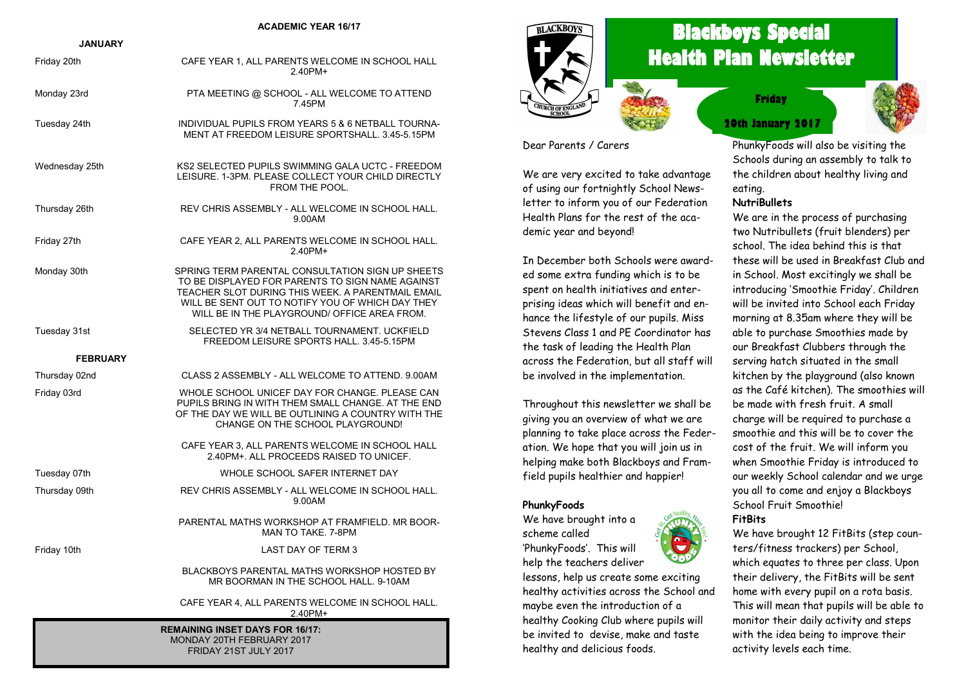#### **ACADEMIC YEAR 16/17**

| <b>JANUARY</b>                         |                                                                                                                                                                                                                                                               |  |
|----------------------------------------|---------------------------------------------------------------------------------------------------------------------------------------------------------------------------------------------------------------------------------------------------------------|--|
| Friday 20th                            | CAFE YEAR 1, ALL PARENTS WELCOME IN SCHOOL HALL<br>2.40PM+                                                                                                                                                                                                    |  |
| Monday 23rd                            | PTA MEETING @ SCHOOL - ALL WELCOME TO ATTEND<br>7.45PM                                                                                                                                                                                                        |  |
| Tuesday 24th                           | INDIVIDUAL PUPILS FROM YEARS 5 & 6 NETBALL TOURNA-<br>MENT AT FREEDOM LEISURE SPORTSHALL. 3.45-5.15PM                                                                                                                                                         |  |
| Wednesday 25th                         | KS2 SELECTED PUPILS SWIMMING GALA UCTC - FREEDOM<br>LEISURE, 1-3PM, PLEASE COLLECT YOUR CHILD DIRECTLY<br>FROM THE POOL.                                                                                                                                      |  |
| Thursday 26th                          | REV CHRIS ASSEMBLY - ALL WELCOME IN SCHOOL HALL.<br>9.00AM                                                                                                                                                                                                    |  |
| Friday 27th                            | CAFE YEAR 2, ALL PARENTS WELCOME IN SCHOOL HALL.<br>2.40PM+                                                                                                                                                                                                   |  |
| Monday 30th                            | SPRING TERM PARENTAL CONSULTATION SIGN UP SHEETS<br>TO BE DISPLAYED FOR PARENTS TO SIGN NAME AGAINST<br>TEACHER SLOT DURING THIS WEEK. A PARENTMAIL EMAIL<br>WILL BE SENT OUT TO NOTIFY YOU OF WHICH DAY THEY<br>WILL BE IN THE PLAYGROUND/ OFFICE AREA FROM. |  |
| Tuesday 31st                           | SELECTED YR 3/4 NETBALL TOURNAMENT, UCKFIELD<br>FREEDOM LEISURE SPORTS HALL, 3.45-5.15PM                                                                                                                                                                      |  |
| <b>FEBRUARY</b>                        |                                                                                                                                                                                                                                                               |  |
| Thursday 02nd                          | CLASS 2 ASSEMBLY - ALL WELCOME TO ATTEND, 9,00AM                                                                                                                                                                                                              |  |
| Friday 03rd                            | WHOLE SCHOOL UNICEF DAY FOR CHANGE. PLEASE CAN<br>PUPILS BRING IN WITH THEM SMALL CHANGE. AT THE END<br>OF THE DAY WE WILL BE OUTLINING A COUNTRY WITH THE<br>CHANGE ON THE SCHOOL PLAYGROUND!                                                                |  |
|                                        | CAFE YEAR 3, ALL PARENTS WELCOME IN SCHOOL HALL<br>2.40PM+. ALL PROCEEDS RAISED TO UNICEF.                                                                                                                                                                    |  |
| Tuesday 07th                           | WHOLE SCHOOL SAFER INTERNET DAY                                                                                                                                                                                                                               |  |
| Thursday 09th                          | REV CHRIS ASSEMBLY - ALL WELCOME IN SCHOOL HALL.<br>9.00AM                                                                                                                                                                                                    |  |
|                                        | PARENTAL MATHS WORKSHOP AT FRAMFIELD. MR BOOR-<br>MAN TO TAKE, 7-8PM                                                                                                                                                                                          |  |
| Friday 10th                            | LAST DAY OF TERM 3                                                                                                                                                                                                                                            |  |
|                                        | <b>BLACKBOYS PARENTAL MATHS WORKSHOP HOSTED BY</b><br>MR BOORMAN IN THE SCHOOL HALL. 9-10AM                                                                                                                                                                   |  |
|                                        | CAFE YEAR 4, ALL PARENTS WELCOME IN SCHOOL HALL.<br>2.40PM+                                                                                                                                                                                                   |  |
| <b>REMAINING INSET DAYS FOR 16/17:</b> |                                                                                                                                                                                                                                                               |  |

MONDAY 20TH FEBRUARY 2017 FRIDAY 21ST JULY 2017



# **Blackboys Special Health Plan Newsletter**

**20th January 2017 Friday**



Dear Parents / Carers

We are very excited to take advantage of using our fortnightly School Newsletter to inform you of our Federation Health Plans for the rest of the academic year and beyond!

In December both Schools were awarded some extra funding which is to be spent on health initiatives and enterprising ideas which will benefit and enhance the lifestyle of our pupils. Miss Stevens Class 1 and PE Coordinator has the task of leading the Health Plan across the Federation, but all staff will be involved in the implementation.

Throughout this newsletter we shall be giving you an overview of what we are planning to take place across the Federation. We hope that you will join us in helping make both Blackboys and Framfield pupils healthier and happier!

#### **PhunkyFoods**

We have brought into a scheme called 'PhunkyFoods'. This will help the teachers deliver



PhunkyFoods will also be visiting the Schools during an assembly to talk to the children about healthy living and eating.

#### **NutriBullets**

We are in the process of purchasing two Nutribullets (fruit blenders) per school. The idea behind this is that these will be used in Breakfast Club and in School. Most excitingly we shall be introducing 'Smoothie Friday'. Children will be invited into School each Friday morning at 8.35am where they will be able to purchase Smoothies made by our Breakfast Clubbers through the serving hatch situated in the small kitchen by the playground (also known as the Café kitchen). The smoothies will be made with fresh fruit. A small charge will be required to purchase a smoothie and this will be to cover the cost of the fruit. We will inform you when Smoothie Friday is introduced to our weekly School calendar and we urge you all to come and enjoy a Blackboys School Fruit Smoothie! **FitBits**

We have brought 12 FitBits (step counters/fitness trackers) per School, which equates to three per class. Upon their delivery, the FitBits will be sent home with every pupil on a rota basis. This will mean that pupils will be able to monitor their daily activity and steps with the idea being to improve their activity levels each time.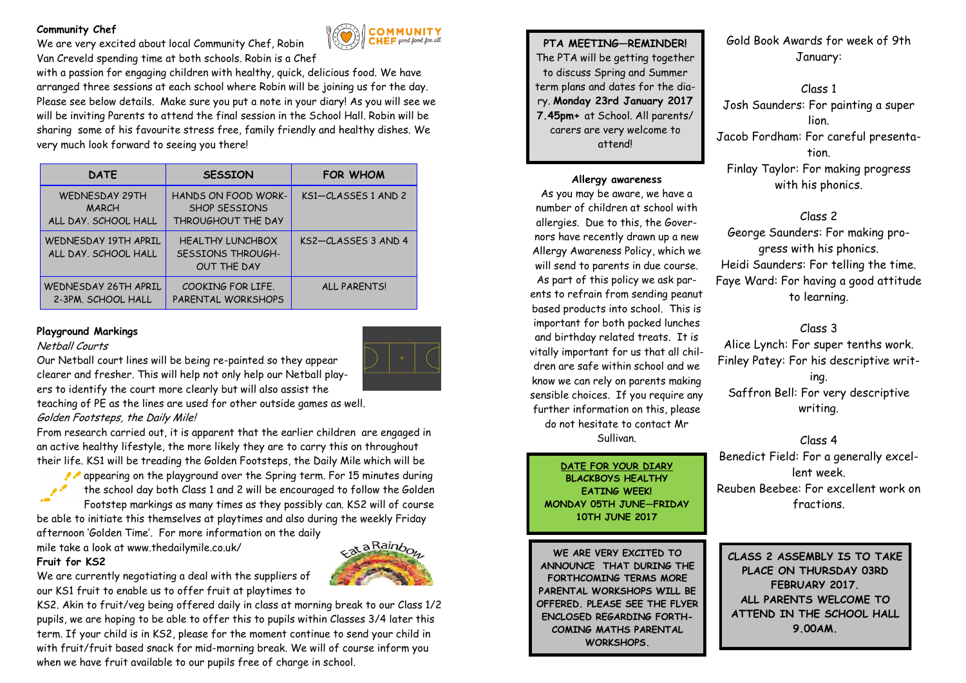### **Community Chef**

We are very excited about local Community Chef, Robin Van Creveld spending time at both schools. Robin is a Chef

with a passion for engaging children with healthy, quick, delicious food. We have arranged three sessions at each school where Robin will be joining us for the day. Please see below details. Make sure you put a note in your diary! As you will see we will be inviting Parents to attend the final session in the School Hall. Robin will be sharing some of his favourite stress free, family friendly and healthy dishes. We very much look forward to seeing you there!

| <b>DATE</b>                                                   | <b>SESSION</b>                                                            | <b>FOR WHOM</b>         |
|---------------------------------------------------------------|---------------------------------------------------------------------------|-------------------------|
| <b>WEDNESDAY 29TH</b><br><b>MARCH</b><br>ALL DAY, SCHOOL HALL | HANDS ON FOOD WORK-<br><b>SHOP SFSSIONS</b><br>THROUGHOUT THE DAY         | $KSI - CLASSFS 1 AND 2$ |
| WFDNESDAY 19TH APRIL<br>ALL DAY, SCHOOL HALL                  | <b>HEALTHY LUNCHBOX</b><br><b>SESSIONS THROUGH-</b><br><b>OUT THE DAY</b> | $KS2 - CLASSFS 3 AND 4$ |
| WEDNESDAY 26TH APRIL<br>2-3PM. SCHOOL HALL                    | COOKING FOR LIFF.<br>PARENTAL WORKSHOPS                                   | <b>ALL PARENTSI</b>     |

### **Playground Markings**

#### Netball Courts

Our Netball court lines will be being re-painted so they appear clearer and fresher. This will help not only help our Netball players to identify the court more clearly but will also assist the

teaching of PE as the lines are used for other outside games as well. Golden Footsteps, the Daily Mile!

From research carried out, it is apparent that the earlier children are engaged in an active healthy lifestyle, the more likely they are to carry this on throughout their life. KS1 will be treading the Golden Footsteps, the Daily Mile which will be

appearing on the playground over the Spring term. For 15 minutes during  $\mathscr{P}$ the school day both Class 1 and 2 will be encouraged to follow the Golden Footstep markings as many times as they possibly can. KS2 will of course be able to initiate this themselves at playtimes and also during the weekly Friday

afternoon 'Golden Time'. For more information on the daily

mile take a look at www.thedailymile.co.uk/

#### **Fruit for KS2**



**COMMUNITY**<br>CHEF good food for all

We are currently negotiating a deal with the suppliers of our KS1 fruit to enable us to offer fruit at playtimes to

KS2. Akin to fruit/veg being offered daily in class at morning break to our Class 1/2 pupils, we are hoping to be able to offer this to pupils within Classes 3/4 later this term. If your child is in KS2, please for the moment continue to send your child in with fruit/fruit based snack for mid-morning break. We will of course inform you when we have fruit available to our pupils free of charge in school.



#### **Allergy awareness**

As you may be aware, we have a number of children at school with allergies. Due to this, the Governors have recently drawn up a new Allergy Awareness Policy, which we will send to parents in due course. As part of this policy we ask parents to refrain from sending peanut based products into school. This is important for both packed lunches and birthday related treats. It is vitally important for us that all children are safe within school and we know we can rely on parents making sensible choices. If you require any further information on this, please do not hesitate to contact Mr Sullivan.

## **DATE FOR YOUR DIARY BLACKBOYS HEALTHY**

**EATING WEEK! MONDAY 05TH JUNE—FRIDAY 10TH JUNE 2017**

**WE ARE VERY EXCITED TO ANNOUNCE THAT DURING THE FORTHCOMING TERMS MORE PARENTAL WORKSHOPS WILL BE OFFERED. PLEASE SEE THE FLYER ENCLOSED REGARDING FORTH-COMING MATHS PARENTAL WORKSHOPS.**

Gold Book Awards for week of 9th January:

Class 1 Josh Saunders: For painting a super lion. Jacob Fordham: For careful presentation. Finlay Taylor: For making progress with his phonics.

Class 2 George Saunders: For making progress with his phonics. Heidi Saunders: For telling the time. Faye Ward: For having a good attitude to learning.

Class 3 Alice Lynch: For super tenths work. Finley Patey: For his descriptive writing. Saffron Bell: For very descriptive writing.

Class 4 Benedict Field: For a generally excellent week. Reuben Beebee: For excellent work on fractions.

**CLASS 2 ASSEMBLY IS TO TAKE PLACE ON THURSDAY 03RD FEBRUARY 2017. ALL PARENTS WELCOME TO ATTEND IN THE SCHOOL HALL 9.00AM.**